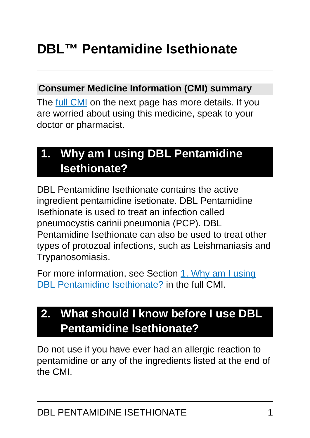# **DBL™ Pentamidine Isethionate**

#### **Consumer Medicine Information (CMI) summary**

The [full CMI](#page-3-0) on the next page has more details. If you are worried about using this medicine, speak to your doctor or pharmacist.

# **1. Why am I using DBL Pentamidine Isethionate?**

DBL Pentamidine Isethionate contains the active ingredient pentamidine isetionate. DBL Pentamidine Isethionate is used to treat an infection called pneumocystis carinii pneumonia (PCP). DBL Pentamidine Isethionate can also be used to treat other types of protozoal infections, such as Leishmaniasis and Trypanosomiasis.

For more information, see Section [1. Why am I using](#page-4-0) [DBL Pentamidine Isethionate?](#page-4-0) in the full CMI.

# **2. What should I know before I use DBL Pentamidine Isethionate?**

Do not use if you have ever had an allergic reaction to pentamidine or any of the ingredients listed at the end of the CMI.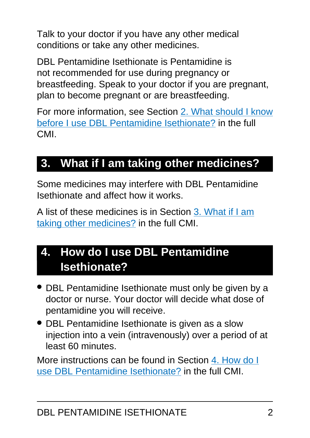Talk to your doctor if you have any other medical conditions or take any other medicines.

DBL Pentamidine Isethionate is Pentamidine is not recommended for use during pregnancy or breastfeeding. Speak to your doctor if you are pregnant, plan to become pregnant or are breastfeeding.

For more information, see Section [2. What should I know](#page-5-0) [before I use DBL Pentamidine Isethionate?](#page-5-0) in the full CMI.

# **3. What if I am taking other medicines?**

Some medicines may interfere with DBL Pentamidine Isethionate and affect how it works.

A list of these medicines is in Section [3. What if I am](#page-7-0) [taking other medicines?](#page-7-0) in the full CMI.

## **4. How do I use DBL Pentamidine Isethionate?**

- DBL Pentamidine Isethionate must only be given by a doctor or nurse. Your doctor will decide what dose of pentamidine you will receive.
- DBL Pentamidine Isethionate is given as a slow injection into a vein (intravenously) over a period of at least 60 minutes.

More instructions can be found in Section [4. How do I](#page-7-1) [use DBL Pentamidine Isethionate?](#page-7-1) in the full CMI.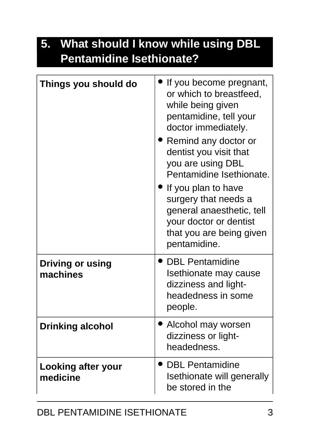# **5. What should I know while using DBL Pentamidine Isethionate?**

| Things you should do                | If you become pregnant,<br>or which to breastfeed,<br>while being given<br>pentamidine, tell your<br>doctor immediately.<br>Remind any doctor or<br>dentist you visit that<br>you are using DBL<br>Pentamidine Isethionate.<br>If you plan to have<br>surgery that needs a<br>general anaesthetic, tell<br>your doctor or dentist<br>that you are being given<br>pentamidine. |
|-------------------------------------|-------------------------------------------------------------------------------------------------------------------------------------------------------------------------------------------------------------------------------------------------------------------------------------------------------------------------------------------------------------------------------|
| <b>Driving or using</b><br>machines | <b>DBL Pentamidine</b><br>Isethionate may cause<br>dizziness and light-<br>headedness in some<br>people.                                                                                                                                                                                                                                                                      |
| <b>Drinking alcohol</b>             | Alcohol may worsen<br>dizziness or light-<br>headedness.                                                                                                                                                                                                                                                                                                                      |
| Looking after your<br>medicine      | <b>DBL Pentamidine</b><br>Isethionate will generally<br>be stored in the                                                                                                                                                                                                                                                                                                      |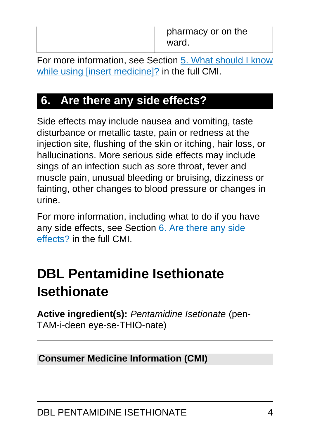For more information, see Section [5. What should I know](#page-9-0) while using linsert medicine<sup>[2]</sup> in the full CMI.

## **6. Are there any side effects?**

Side effects may include nausea and vomiting, taste disturbance or metallic taste, pain or redness at the injection site, flushing of the skin or itching, hair loss, or hallucinations. More serious side effects may include sings of an infection such as sore throat, fever and muscle pain, unusual bleeding or bruising, dizziness or fainting, other changes to blood pressure or changes in urine.

For more information, including what to do if you have any side effects, see Section [6. Are there any side](#page-11-0) [effects?](#page-11-0) in the full CMI.

# <span id="page-3-0"></span>**DBL Pentamidine Isethionate Isethionate**

**Active ingredient(s):** Pentamidine Isetionate (pen-TAM-i-deen eye-se-THIO-nate)

#### **Consumer Medicine Information (CMI)**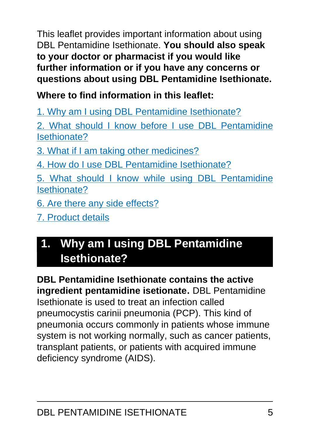This leaflet provides important information about using DBL Pentamidine Isethionate. **You should also speak to your doctor or pharmacist if you would like further information or if you have any concerns or questions about using DBL Pentamidine Isethionate.**

**Where to find information in this leaflet:**

[1. Why am I using DBL Pentamidine Isethionate?](#page-4-0)

[2. What should I know before I use DBL Pentamidine](#page-5-0) [Isethionate?](#page-5-0)

[3. What if I am taking other medicines?](#page-7-0)

[4. How do I use DBL Pentamidine Isethionate?](#page-7-1)

[5. What should I know while using DBL Pentamidine](#page-9-0) [Isethionate?](#page-9-0)

[6. Are there any side effects?](#page-11-0)

[7. Product details](#page-14-0)

# <span id="page-4-0"></span>**1. Why am I using DBL Pentamidine Isethionate?**

**DBL Pentamidine Isethionate contains the active ingredient pentamidine isetionate.** DBL Pentamidine Isethionate is used to treat an infection called pneumocystis carinii pneumonia (PCP). This kind of pneumonia occurs commonly in patients whose immune system is not working normally, such as cancer patients, transplant patients, or patients with acquired immune deficiency syndrome (AIDS).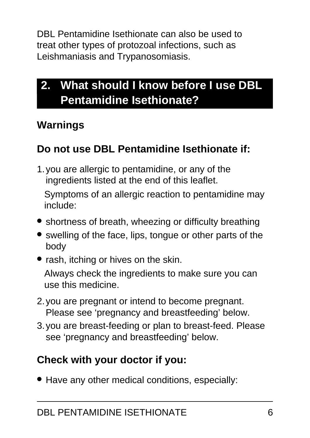DBL Pentamidine Isethionate can also be used to treat other types of protozoal infections, such as Leishmaniasis and Trypanosomiasis.

# <span id="page-5-0"></span>**2. What should I know before I use DBL Pentamidine Isethionate?**

## **Warnings**

## **Do not use DBL Pentamidine Isethionate if:**

1.you are allergic to pentamidine, or any of the ingredients listed at the end of this leaflet.

Symptoms of an allergic reaction to pentamidine may include:

- shortness of breath, wheezing or difficulty breathing
- swelling of the face, lips, tongue or other parts of the body
- rash, itching or hives on the skin.

Always check the ingredients to make sure you can use this medicine.

- 2.you are pregnant or intend to become pregnant. Please see 'pregnancy and breastfeeding' below.
- 3.you are breast-feeding or plan to breast-feed. Please see 'pregnancy and breastfeeding' below.

## **Check with your doctor if you:**

• Have any other medical conditions, especially: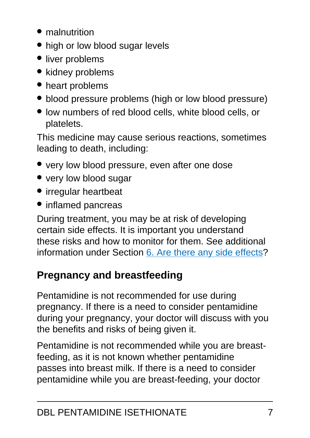- malnutrition
- high or low blood sugar levels
- liver problems
- kidney problems
- heart problems
- blood pressure problems (high or low blood pressure)
- low numbers of red blood cells, white blood cells, or platelets.

This medicine may cause serious reactions, sometimes leading to death, including:

- very low blood pressure, even after one dose
- very low blood sugar
- irregular heartbeat
- inflamed pancreas

During treatment, you may be at risk of developing certain side effects. It is important you understand these risks and how to monitor for them. See additional information under Section [6. Are there any side effects](#page-11-0)?

## **Pregnancy and breastfeeding**

Pentamidine is not recommended for use during pregnancy. If there is a need to consider pentamidine during your pregnancy, your doctor will discuss with you the benefits and risks of being given it.

Pentamidine is not recommended while you are breastfeeding, as it is not known whether pentamidine passes into breast milk. If there is a need to consider pentamidine while you are breast-feeding, your doctor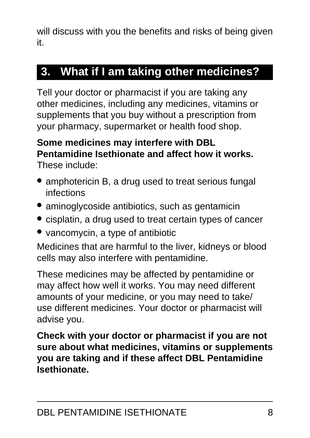will discuss with you the benefits and risks of being given it.

# <span id="page-7-0"></span>**3. What if I am taking other medicines?**

Tell your doctor or pharmacist if you are taking any other medicines, including any medicines, vitamins or supplements that you buy without a prescription from your pharmacy, supermarket or health food shop.

#### **Some medicines may interfere with DBL Pentamidine Isethionate and affect how it works.** These include:

- amphotericin B, a drug used to treat serious fungal infections
- aminoglycoside antibiotics, such as gentamicin
- cisplatin, a drug used to treat certain types of cancer
- vancomycin, a type of antibiotic

Medicines that are harmful to the liver, kidneys or blood cells may also interfere with pentamidine.

These medicines may be affected by pentamidine or may affect how well it works. You may need different amounts of your medicine, or you may need to take/ use different medicines. Your doctor or pharmacist will advise you.

<span id="page-7-1"></span>**Check with your doctor or pharmacist if you are not sure about what medicines, vitamins or supplements you are taking and if these affect DBL Pentamidine Isethionate.**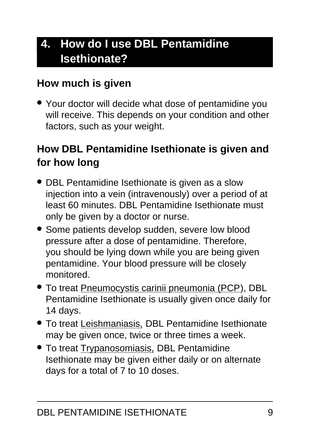# **4. How do I use DBL Pentamidine Isethionate?**

## **How much is given**

● Your doctor will decide what dose of pentamidine you will receive. This depends on your condition and other factors, such as your weight.

#### **How DBL Pentamidine Isethionate is given and for how long**

- DBL Pentamidine Isethionate is given as a slow injection into a vein (intravenously) over a period of at least 60 minutes. DBL Pentamidine Isethionate must only be given by a doctor or nurse.
- Some patients develop sudden, severe low blood pressure after a dose of pentamidine. Therefore, you should be lying down while you are being given pentamidine. Your blood pressure will be closely monitored.
- To treat **Pneumocystis carinii pneumonia (PCP)**, DBL Pentamidine Isethionate is usually given once daily for 14 days.
- To treat Leishmaniasis, DBL Pentamidine Isethionate may be given once, twice or three times a week.
- To treat Trypanosomiasis, DBL Pentamidine Isethionate may be given either daily or on alternate days for a total of 7 to 10 doses.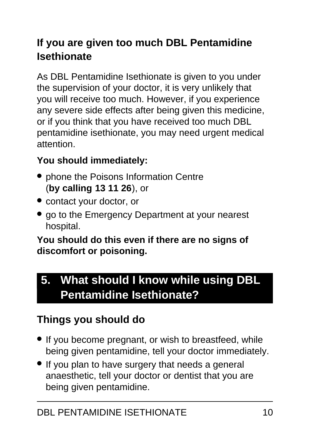## **If you are given too much DBL Pentamidine Isethionate**

As DBL Pentamidine Isethionate is given to you under the supervision of your doctor, it is very unlikely that you will receive too much. However, if you experience any severe side effects after being given this medicine, or if you think that you have received too much DBL pentamidine isethionate, you may need urgent medical attention.

#### **You should immediately:**

- phone the Poisons Information Centre (**by calling 13 11 26**), or
- contact your doctor, or
- go to the Emergency Department at your nearest hospital.

#### **You should do this even if there are no signs of discomfort or poisoning.**

# <span id="page-9-0"></span>**5. What should I know while using DBL Pentamidine Isethionate?**

## **Things you should do**

- If you become pregnant, or wish to breastfeed, while being given pentamidine, tell your doctor immediately.
- If you plan to have surgery that needs a general anaesthetic, tell your doctor or dentist that you are being given pentamidine.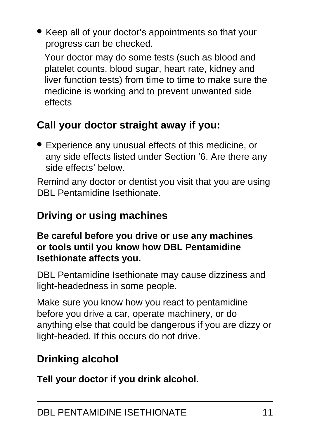• Keep all of your doctor's appointments so that your progress can be checked.

Your doctor may do some tests (such as blood and platelet counts, blood sugar, heart rate, kidney and liver function tests) from time to time to make sure the medicine is working and to prevent unwanted side effects

## **Call your doctor straight away if you:**

• Experience any unusual effects of this medicine, or any side effects listed under Section '6. Are there any side effects' below.

Remind any doctor or dentist you visit that you are using DBL Pentamidine Isethionate.

## **Driving or using machines**

#### **Be careful before you drive or use any machines or tools until you know how DBL Pentamidine Isethionate affects you.**

DBL Pentamidine Isethionate may cause dizziness and light-headedness in some people.

Make sure you know how you react to pentamidine before you drive a car, operate machinery, or do anything else that could be dangerous if you are dizzy or light-headed. If this occurs do not drive.

## **Drinking alcohol**

**Tell your doctor if you drink alcohol.**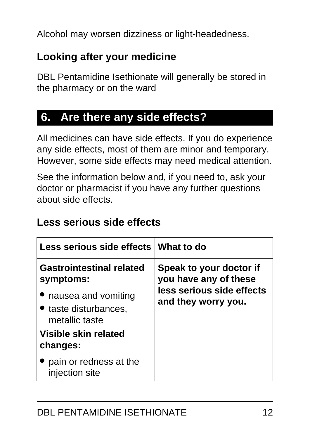Alcohol may worsen dizziness or light-headedness.

#### **Looking after your medicine**

DBL Pentamidine Isethionate will generally be stored in the pharmacy or on the ward

## <span id="page-11-0"></span>**6. Are there any side effects?**

All medicines can have side effects. If you do experience any side effects, most of them are minor and temporary. However, some side effects may need medical attention.

See the information below and, if you need to, ask your doctor or pharmacist if you have any further questions about side effects.

#### **Less serious side effects**

| Less serious side effects What to do                             |                                                  |
|------------------------------------------------------------------|--------------------------------------------------|
| <b>Gastrointestinal related</b><br>symptoms:                     | Speak to your doctor if<br>you have any of these |
| • nausea and vomiting<br>• taste disturbances,<br>metallic taste | less serious side effects<br>and they worry you. |
| Visible skin related<br>changes:                                 |                                                  |
| pain or redness at the<br>injection site                         |                                                  |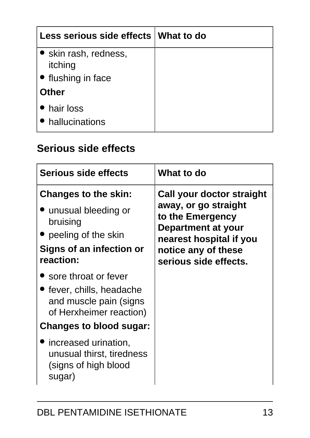| Less serious side effects What to do |  |
|--------------------------------------|--|
| • skin rash, redness,<br>itching     |  |
| • flushing in face                   |  |
| <b>Other</b>                         |  |
| • hair loss<br>• hallucinations      |  |

#### **Serious side effects**

| <b>Serious side effects</b>                                                                                                              | What to do                                                                                                                                                                    |
|------------------------------------------------------------------------------------------------------------------------------------------|-------------------------------------------------------------------------------------------------------------------------------------------------------------------------------|
| <b>Changes to the skin:</b><br>• unusual bleeding or<br>bruising<br>• peeling of the skin<br>Signs of an infection or<br>reaction:       | Call your doctor straight<br>away, or go straight<br>to the Emergency<br><b>Department at your</b><br>nearest hospital if you<br>notice any of these<br>serious side effects. |
| sore throat or fever<br>• fever, chills, headache<br>and muscle pain (signs<br>of Herxheimer reaction)<br><b>Changes to blood sugar:</b> |                                                                                                                                                                               |
| increased urination,<br>unusual thirst, tiredness<br>(signs of high blood<br>sugar)                                                      |                                                                                                                                                                               |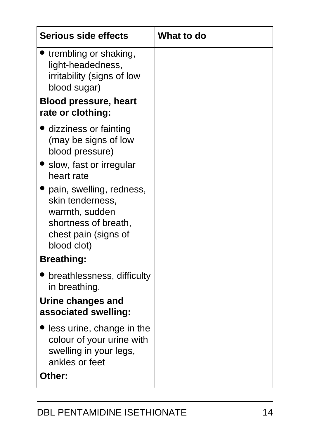| Serious side effects                                                                                                          | What to do |
|-------------------------------------------------------------------------------------------------------------------------------|------------|
| If trembling or shaking,<br>light-headedness,<br>irritability (signs of low<br>blood sugar)<br><b>Blood pressure, heart</b>   |            |
| rate or clothing:                                                                                                             |            |
| dizziness or fainting<br>(may be signs of low<br>blood pressure)<br>• slow, fast or irregular<br>heart rate                   |            |
| pain, swelling, redness,<br>skin tenderness,<br>warmth, sudden<br>shortness of breath,<br>chest pain (signs of<br>blood clot) |            |
| <b>Breathing:</b>                                                                                                             |            |
| breathlessness, difficulty<br>in breathing.                                                                                   |            |
| Urine changes and<br>associated swelling:                                                                                     |            |
| less urine, change in the<br>colour of your urine with<br>swelling in your legs,<br>ankles or feet                            |            |
| Other:                                                                                                                        |            |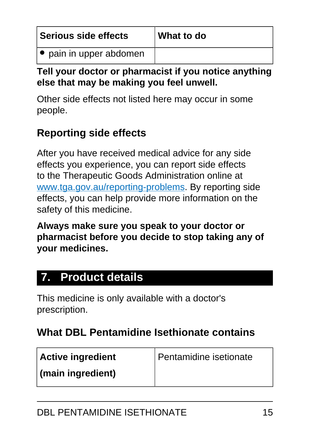| Serious side effects    | What to do |
|-------------------------|------------|
| • pain in upper abdomen |            |

#### **Tell your doctor or pharmacist if you notice anything else that may be making you feel unwell.**

Other side effects not listed here may occur in some people.

## **Reporting side effects**

After you have received medical advice for any side effects you experience, you can report side effects to the Therapeutic Goods Administration online at [www.tga.gov.au/reporting-problems.](http://www.tga.gov.au/reporting-problems) By reporting side effects, you can help provide more information on the safety of this medicine.

**Always make sure you speak to your doctor or pharmacist before you decide to stop taking any of your medicines.**

## <span id="page-14-0"></span>**7. Product details**

This medicine is only available with a doctor's prescription.

#### **What DBL Pentamidine Isethionate contains**

| <b>Active ingredient</b> | Pentamidine isetionate |
|--------------------------|------------------------|
| (main ingredient)        |                        |